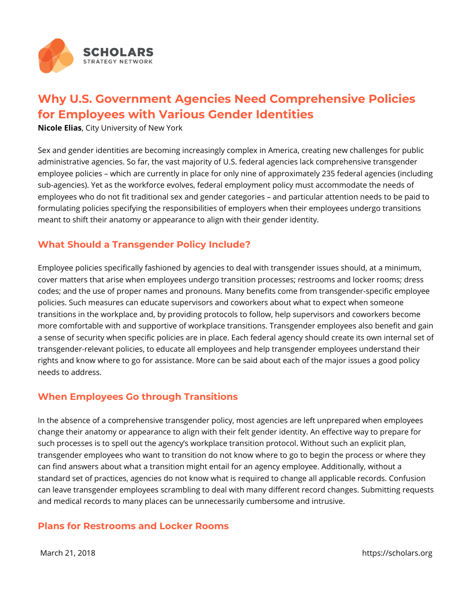

# **Why U.S. Government Agencies Need Comprehensive Policies for Employees with Various Gender Identities**

**Nicole Elias**, City University of New York

Sex and gender identities are becoming increasingly complex in America, creating new challenges for public administrative agencies. So far, the vast majority of U.S. federal agencies lack comprehensive transgender employee policies – which are currently in place for only nine of approximately 235 federal agencies (including sub-agencies). Yet as the workforce evolves, federal employment policy must accommodate the needs of employees who do not fit traditional sex and gender categories – and particular attention needs to be paid to formulating policies specifying the responsibilities of employers when their employees undergo transitions meant to shift their anatomy or appearance to align with their gender identity.

### **What Should a Transgender Policy Include?**

Employee policies specifically fashioned by agencies to deal with transgender issues should, at a minimum, cover matters that arise when employees undergo transition processes; restrooms and locker rooms; dress codes; and the use of proper names and pronouns. Many benefits come from transgender-specific employee policies. Such measures can educate supervisors and coworkers about what to expect when someone transitions in the workplace and, by providing protocols to follow, help supervisors and coworkers become more comfortable with and supportive of workplace transitions. Transgender employees also benefit and gain a sense of security when specific policies are in place. Each federal agency should create its own internal set of transgender-relevant policies, to educate all employees and help transgender employees understand their rights and know where to go for assistance. More can be said about each of the major issues a good policy needs to address.

#### **When Employees Go through Transitions**

In the absence of a comprehensive transgender policy, most agencies are left unprepared when employees change their anatomy or appearance to align with their felt gender identity. An effective way to prepare for such processes is to spell out the agency's workplace transition protocol. Without such an explicit plan, transgender employees who want to transition do not know where to go to begin the process or where they can find answers about what a transition might entail for an agency employee. Additionally, without a standard set of practices, agencies do not know what is required to change all applicable records. Confusion can leave transgender employees scrambling to deal with many different record changes. Submitting requests and medical records to many places can be unnecessarily cumbersome and intrusive.

#### **Plans for Restrooms and Locker Rooms**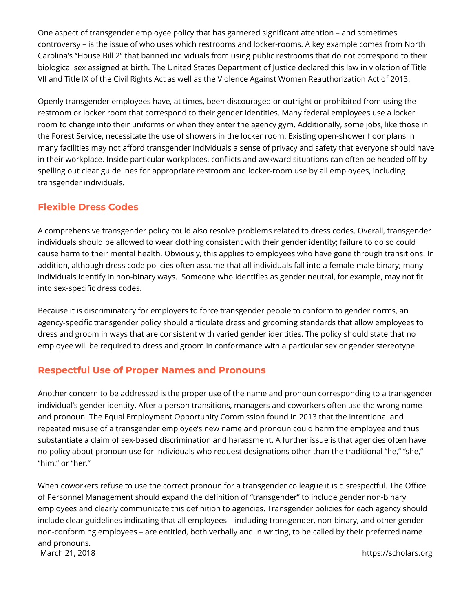One aspect of transgender employee policy that has garnered significant attention – and sometimes controversy – is the issue of who uses which restrooms and locker-rooms. A key example comes from North Carolina's "House Bill 2" that banned individuals from using public restrooms that do not correspond to their biological sex assigned at birth. The United States Department of Justice declared this law in violation of Title VII and Title IX of the Civil Rights Act as well as the Violence Against Women Reauthorization Act of 2013.

Openly transgender employees have, at times, been discouraged or outright or prohibited from using the restroom or locker room that correspond to their gender identities. Many federal employees use a locker room to change into their uniforms or when they enter the agency gym. Additionally, some jobs, like those in the Forest Service, necessitate the use of showers in the locker room. Existing open-shower floor plans in many facilities may not afford transgender individuals a sense of privacy and safety that everyone should have in their workplace. Inside particular workplaces, conflicts and awkward situations can often be headed off by spelling out clear guidelines for appropriate restroom and locker-room use by all employees, including transgender individuals.

## **Flexible Dress Codes**

A comprehensive transgender policy could also resolve problems related to dress codes. Overall, transgender individuals should be allowed to wear clothing consistent with their gender identity; failure to do so could cause harm to their mental health. Obviously, this applies to employees who have gone through transitions. In addition, although dress code policies often assume that all individuals fall into a female-male binary; many individuals identify in non-binary ways. Someone who identifies as gender neutral, for example, may not fit into sex-specific dress codes.

Because it is discriminatory for employers to force transgender people to conform to gender norms, an agency-specific transgender policy should articulate dress and grooming standards that allow employees to dress and groom in ways that are consistent with varied gender identities. The policy should state that no employee will be required to dress and groom in conformance with a particular sex or gender stereotype.

## **Respectful Use of Proper Names and Pronouns**

Another concern to be addressed is the proper use of the name and pronoun corresponding to a transgender individual's gender identity. After a person transitions, managers and coworkers often use the wrong name and pronoun. The Equal Employment Opportunity Commission found in 2013 that the intentional and repeated misuse of a transgender employee's new name and pronoun could harm the employee and thus substantiate a claim of sex-based discrimination and harassment. A further issue is that agencies often have no policy about pronoun use for individuals who request designations other than the traditional "he," "she," "him," or "her."

When coworkers refuse to use the correct pronoun for a transgender colleague it is disrespectful. The Office of Personnel Management should expand the definition of "transgender" to include gender non-binary employees and clearly communicate this definition to agencies. Transgender policies for each agency should include clear guidelines indicating that all employees – including transgender, non-binary, and other gender non-conforming employees – are entitled, both verbally and in writing, to be called by their preferred name and pronouns. March 21, 2018 **https://scholars.org**